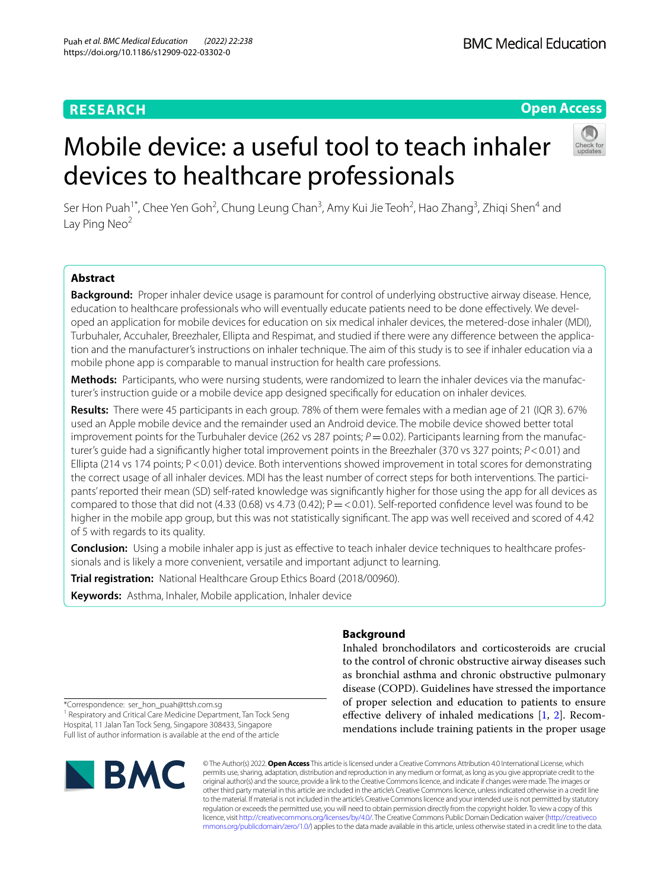## **RESEARCH**

**BMC Medical Education** 

## **Open Access**

# Mobile device: a useful tool to teach inhaler devices to healthcare professionals



Ser Hon Puah<sup>1\*</sup>, Chee Yen Goh<sup>2</sup>, Chung Leung Chan<sup>3</sup>, Amy Kui Jie Teoh<sup>2</sup>, Hao Zhang<sup>3</sup>, Zhiqi Shen<sup>4</sup> and Lay Ping Neo<sup>2</sup>

## **Abstract**

**Background:** Proper inhaler device usage is paramount for control of underlying obstructive airway disease. Hence, education to healthcare professionals who will eventually educate patients need to be done efectively. We developed an application for mobile devices for education on six medical inhaler devices, the metered-dose inhaler (MDI), Turbuhaler, Accuhaler, Breezhaler, Ellipta and Respimat, and studied if there were any diference between the application and the manufacturer's instructions on inhaler technique. The aim of this study is to see if inhaler education via a mobile phone app is comparable to manual instruction for health care professions.

**Methods:** Participants, who were nursing students, were randomized to learn the inhaler devices via the manufacturer's instruction guide or a mobile device app designed specifcally for education on inhaler devices.

**Results:** There were 45 participants in each group. 78% of them were females with a median age of 21 (IQR 3). 67% used an Apple mobile device and the remainder used an Android device. The mobile device showed better total improvement points for the Turbuhaler device (262 vs 287 points;  $P=0.02$ ). Participants learning from the manufacturer's guide had a signifcantly higher total improvement points in the Breezhaler (370 vs 327 points; *P*<0.01) and Ellipta (214 vs 174 points; P < 0.01) device. Both interventions showed improvement in total scores for demonstrating the correct usage of all inhaler devices. MDI has the least number of correct steps for both interventions. The participants' reported their mean (SD) self-rated knowledge was signifcantly higher for those using the app for all devices as compared to those that did not (4.33 (0.68) vs 4.73 (0.42);  $P = 0.01$ ). Self-reported confidence level was found to be higher in the mobile app group, but this was not statistically signifcant. The app was well received and scored of 4.42 of 5 with regards to its quality.

**Conclusion:** Using a mobile inhaler app is just as effective to teach inhaler device techniques to healthcare professionals and is likely a more convenient, versatile and important adjunct to learning.

**Trial registration:** National Healthcare Group Ethics Board (2018/00960).

**Keywords:** Asthma, Inhaler, Mobile application, Inhaler device

## **Background**

Inhaled bronchodilators and corticosteroids are crucial to the control of chronic obstructive airway diseases such as bronchial asthma and chronic obstructive pulmonary disease (COPD). Guidelines have stressed the importance of proper selection and education to patients to ensure effective delivery of inhaled medications  $[1, 2]$  $[1, 2]$  $[1, 2]$  $[1, 2]$  $[1, 2]$ . Recommendations include training patients in the proper usage

\*Correspondence: ser\_hon\_puah@ttsh.com.sg <sup>1</sup> Respiratory and Critical Care Medicine Department, Tan Tock Seng Hospital, 11 Jalan Tan Tock Seng, Singapore 308433, Singapore Full list of author information is available at the end of the article



© The Author(s) 2022. **Open Access** This article is licensed under a Creative Commons Attribution 4.0 International License, which permits use, sharing, adaptation, distribution and reproduction in any medium or format, as long as you give appropriate credit to the original author(s) and the source, provide a link to the Creative Commons licence, and indicate if changes were made. The images or other third party material in this article are included in the article's Creative Commons licence, unless indicated otherwise in a credit line to the material. If material is not included in the article's Creative Commons licence and your intended use is not permitted by statutory regulation or exceeds the permitted use, you will need to obtain permission directly from the copyright holder. To view a copy of this licence, visit [http://creativecommons.org/licenses/by/4.0/.](http://creativecommons.org/licenses/by/4.0/) The Creative Commons Public Domain Dedication waiver ([http://creativeco](http://creativecommons.org/publicdomain/zero/1.0/) [mmons.org/publicdomain/zero/1.0/](http://creativecommons.org/publicdomain/zero/1.0/)) applies to the data made available in this article, unless otherwise stated in a credit line to the data.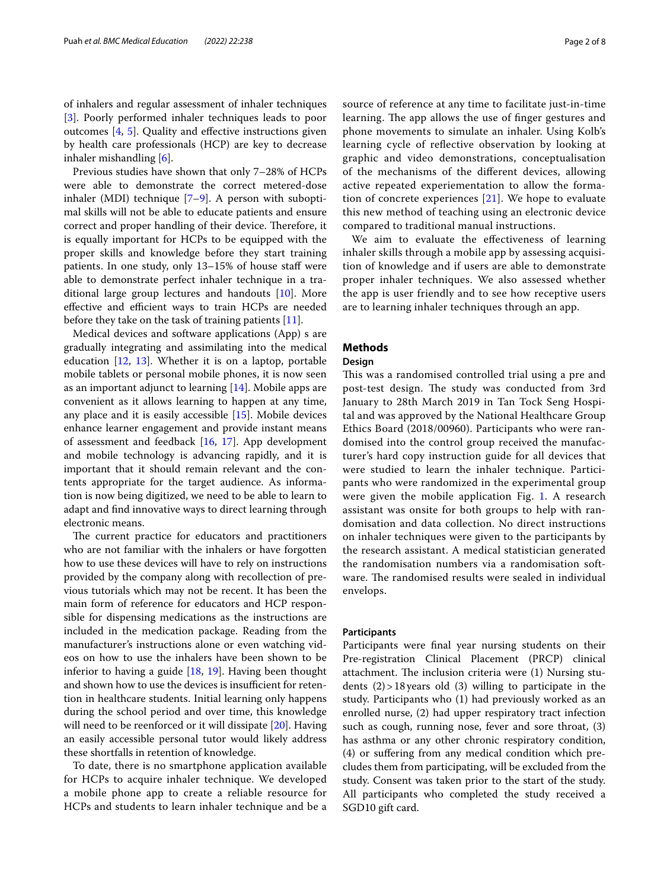of inhalers and regular assessment of inhaler techniques [[3\]](#page-7-2). Poorly performed inhaler techniques leads to poor outcomes [[4,](#page-7-3) [5](#page-7-4)]. Quality and efective instructions given by health care professionals (HCP) are key to decrease inhaler mishandling [[6\]](#page-7-5).

Previous studies have shown that only 7–28% of HCPs were able to demonstrate the correct metered-dose inhaler (MDI) technique [[7](#page-7-6)[–9](#page-7-7)]. A person with suboptimal skills will not be able to educate patients and ensure correct and proper handling of their device. Therefore, it is equally important for HCPs to be equipped with the proper skills and knowledge before they start training patients. In one study, only 13–15% of house staff were able to demonstrate perfect inhaler technique in a traditional large group lectures and handouts [\[10](#page-7-8)]. More effective and efficient ways to train HCPs are needed before they take on the task of training patients [\[11](#page-7-9)].

Medical devices and software applications (App) s are gradually integrating and assimilating into the medical education  $[12, 13]$  $[12, 13]$  $[12, 13]$  $[12, 13]$ . Whether it is on a laptop, portable mobile tablets or personal mobile phones, it is now seen as an important adjunct to learning [\[14](#page-7-12)]. Mobile apps are convenient as it allows learning to happen at any time, any place and it is easily accessible [[15](#page-7-13)]. Mobile devices enhance learner engagement and provide instant means of assessment and feedback [[16,](#page-7-14) [17\]](#page-7-15). App development and mobile technology is advancing rapidly, and it is important that it should remain relevant and the contents appropriate for the target audience. As information is now being digitized, we need to be able to learn to adapt and fnd innovative ways to direct learning through electronic means.

The current practice for educators and practitioners who are not familiar with the inhalers or have forgotten how to use these devices will have to rely on instructions provided by the company along with recollection of previous tutorials which may not be recent. It has been the main form of reference for educators and HCP responsible for dispensing medications as the instructions are included in the medication package. Reading from the manufacturer's instructions alone or even watching videos on how to use the inhalers have been shown to be inferior to having a guide  $[18, 19]$  $[18, 19]$  $[18, 19]$  $[18, 19]$ . Having been thought and shown how to use the devices is insufficient for retention in healthcare students. Initial learning only happens during the school period and over time, this knowledge will need to be reenforced or it will dissipate [[20](#page-7-18)]. Having an easily accessible personal tutor would likely address these shortfalls in retention of knowledge.

To date, there is no smartphone application available for HCPs to acquire inhaler technique. We developed a mobile phone app to create a reliable resource for HCPs and students to learn inhaler technique and be a

source of reference at any time to facilitate just-in-time learning. The app allows the use of finger gestures and phone movements to simulate an inhaler. Using Kolb's learning cycle of refective observation by looking at graphic and video demonstrations, conceptualisation of the mechanisms of the diferent devices, allowing active repeated experiementation to allow the formation of concrete experiences  $[21]$  $[21]$  $[21]$ . We hope to evaluate this new method of teaching using an electronic device compared to traditional manual instructions.

We aim to evaluate the effectiveness of learning inhaler skills through a mobile app by assessing acquisition of knowledge and if users are able to demonstrate proper inhaler techniques. We also assessed whether the app is user friendly and to see how receptive users are to learning inhaler techniques through an app.

## **Methods**

## **Design**

This was a randomised controlled trial using a pre and post-test design. The study was conducted from 3rd January to 28th March 2019 in Tan Tock Seng Hospital and was approved by the National Healthcare Group Ethics Board (2018/00960). Participants who were randomised into the control group received the manufacturer's hard copy instruction guide for all devices that were studied to learn the inhaler technique. Participants who were randomized in the experimental group were given the mobile application Fig. [1.](#page-2-0) A research assistant was onsite for both groups to help with randomisation and data collection. No direct instructions on inhaler techniques were given to the participants by the research assistant. A medical statistician generated the randomisation numbers via a randomisation software. The randomised results were sealed in individual envelops.

## **Participants**

Participants were fnal year nursing students on their Pre-registration Clinical Placement (PRCP) clinical attachment. The inclusion criteria were  $(1)$  Nursing students  $(2)$  > 18 years old  $(3)$  willing to participate in the study. Participants who (1) had previously worked as an enrolled nurse, (2) had upper respiratory tract infection such as cough, running nose, fever and sore throat, (3) has asthma or any other chronic respiratory condition, (4) or sufering from any medical condition which precludes them from participating, will be excluded from the study. Consent was taken prior to the start of the study. All participants who completed the study received a SGD10 gift card.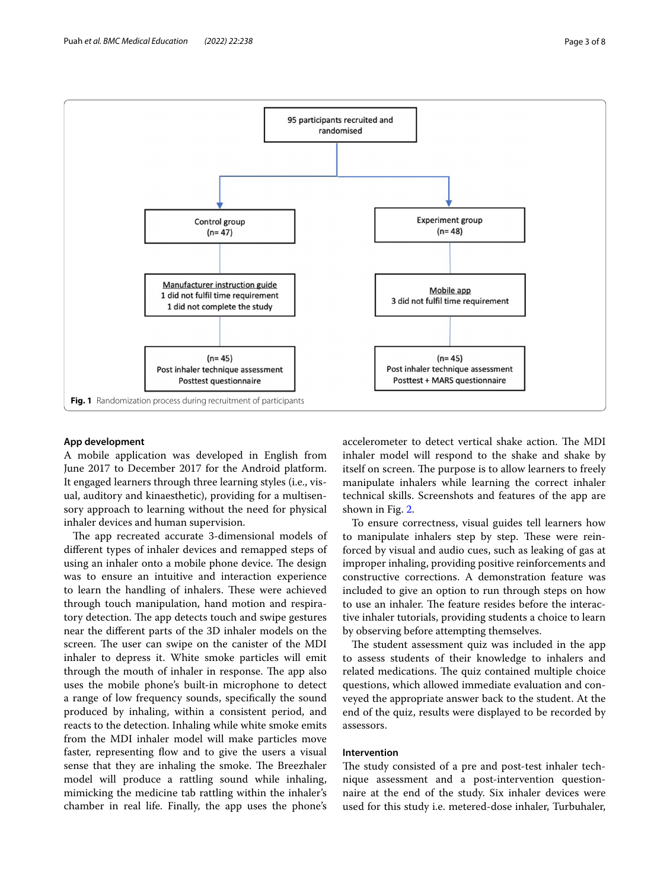

## <span id="page-2-0"></span>**App development**

A mobile application was developed in English from June 2017 to December 2017 for the Android platform. It engaged learners through three learning styles (i.e., visual, auditory and kinaesthetic), providing for a multisensory approach to learning without the need for physical inhaler devices and human supervision.

The app recreated accurate 3-dimensional models of diferent types of inhaler devices and remapped steps of using an inhaler onto a mobile phone device. The design was to ensure an intuitive and interaction experience to learn the handling of inhalers. These were achieved through touch manipulation, hand motion and respiratory detection. The app detects touch and swipe gestures near the diferent parts of the 3D inhaler models on the screen. The user can swipe on the canister of the MDI inhaler to depress it. White smoke particles will emit through the mouth of inhaler in response. The app also uses the mobile phone's built-in microphone to detect a range of low frequency sounds, specifcally the sound produced by inhaling, within a consistent period, and reacts to the detection. Inhaling while white smoke emits from the MDI inhaler model will make particles move faster, representing flow and to give the users a visual sense that they are inhaling the smoke. The Breezhaler model will produce a rattling sound while inhaling, mimicking the medicine tab rattling within the inhaler's chamber in real life. Finally, the app uses the phone's accelerometer to detect vertical shake action. The MDI inhaler model will respond to the shake and shake by itself on screen. The purpose is to allow learners to freely manipulate inhalers while learning the correct inhaler technical skills. Screenshots and features of the app are shown in Fig. [2](#page-3-0).

To ensure correctness, visual guides tell learners how to manipulate inhalers step by step. These were reinforced by visual and audio cues, such as leaking of gas at improper inhaling, providing positive reinforcements and constructive corrections. A demonstration feature was included to give an option to run through steps on how to use an inhaler. The feature resides before the interactive inhaler tutorials, providing students a choice to learn by observing before attempting themselves.

The student assessment quiz was included in the app to assess students of their knowledge to inhalers and related medications. The quiz contained multiple choice questions, which allowed immediate evaluation and conveyed the appropriate answer back to the student. At the end of the quiz, results were displayed to be recorded by assessors.

## **Intervention**

The study consisted of a pre and post-test inhaler technique assessment and a post-intervention questionnaire at the end of the study. Six inhaler devices were used for this study i.e. metered-dose inhaler, Turbuhaler,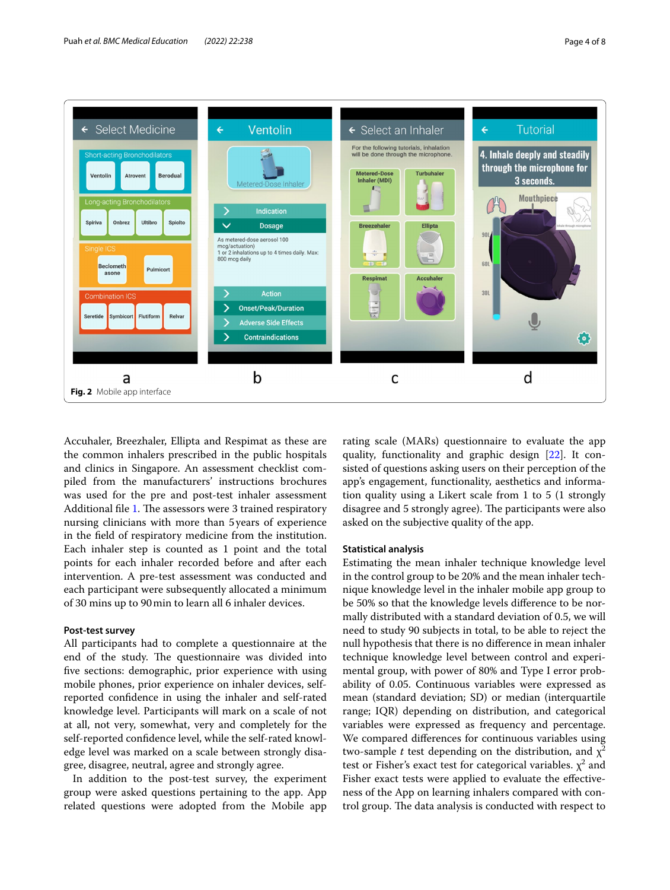

<span id="page-3-0"></span>Accuhaler, Breezhaler, Ellipta and Respimat as these are the common inhalers prescribed in the public hospitals and clinics in Singapore. An assessment checklist compiled from the manufacturers' instructions brochures was used for the pre and post-test inhaler assessment Additional file [1](#page-6-0). The assessors were 3 trained respiratory nursing clinicians with more than 5years of experience in the feld of respiratory medicine from the institution. Each inhaler step is counted as 1 point and the total points for each inhaler recorded before and after each intervention. A pre-test assessment was conducted and each participant were subsequently allocated a minimum of 30 mins up to 90min to learn all 6 inhaler devices.

## **Post‑test survey**

All participants had to complete a questionnaire at the end of the study. The questionnaire was divided into fve sections: demographic, prior experience with using mobile phones, prior experience on inhaler devices, selfreported confdence in using the inhaler and self-rated knowledge level. Participants will mark on a scale of not at all, not very, somewhat, very and completely for the self-reported confdence level, while the self-rated knowledge level was marked on a scale between strongly disagree, disagree, neutral, agree and strongly agree.

In addition to the post-test survey, the experiment group were asked questions pertaining to the app. App related questions were adopted from the Mobile app rating scale (MARs) questionnaire to evaluate the app quality, functionality and graphic design [\[22\]](#page-7-20). It consisted of questions asking users on their perception of the app's engagement, functionality, aesthetics and information quality using a Likert scale from 1 to 5 (1 strongly disagree and 5 strongly agree). The participants were also asked on the subjective quality of the app.

### **Statistical analysis**

Estimating the mean inhaler technique knowledge level in the control group to be 20% and the mean inhaler technique knowledge level in the inhaler mobile app group to be 50% so that the knowledge levels diference to be normally distributed with a standard deviation of 0.5, we will need to study 90 subjects in total, to be able to reject the null hypothesis that there is no diference in mean inhaler technique knowledge level between control and experimental group, with power of 80% and Type I error probability of 0.05. Continuous variables were expressed as mean (standard deviation; SD) or median (interquartile range; IQR) depending on distribution, and categorical variables were expressed as frequency and percentage. We compared diferences for continuous variables using two-sample *t* test depending on the distribution, and  $\chi^2$ test or Fisher's exact test for categorical variables.  $\chi^2$  and Fisher exact tests were applied to evaluate the effectiveness of the App on learning inhalers compared with control group. The data analysis is conducted with respect to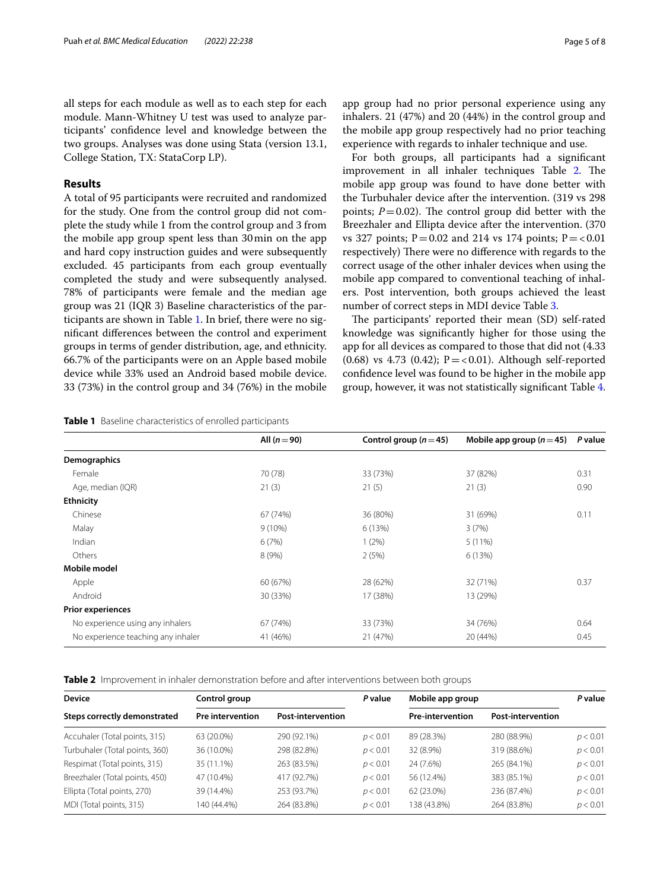all steps for each module as well as to each step for each module. Mann-Whitney U test was used to analyze participants' confdence level and knowledge between the two groups. Analyses was done using Stata (version 13.1, College Station, TX: StataCorp LP).

## **Results**

A total of 95 participants were recruited and randomized for the study. One from the control group did not complete the study while 1 from the control group and 3 from the mobile app group spent less than 30min on the app and hard copy instruction guides and were subsequently excluded. 45 participants from each group eventually completed the study and were subsequently analysed. 78% of participants were female and the median age group was 21 (IQR 3) Baseline characteristics of the participants are shown in Table [1](#page-4-0). In brief, there were no signifcant diferences between the control and experiment groups in terms of gender distribution, age, and ethnicity. 66.7% of the participants were on an Apple based mobile device while 33% used an Android based mobile device. 33 (73%) in the control group and 34 (76%) in the mobile app group had no prior personal experience using any inhalers. 21 (47%) and 20 (44%) in the control group and the mobile app group respectively had no prior teaching experience with regards to inhaler technique and use.

For both groups, all participants had a signifcant improvement in all inhaler techniques Table  $2$ . The mobile app group was found to have done better with the Turbuhaler device after the intervention. (319 vs 298 points;  $P=0.02$ ). The control group did better with the Breezhaler and Ellipta device after the intervention. (370 vs 327 points;  $P = 0.02$  and 214 vs 174 points;  $P = < 0.01$ respectively) There were no difference with regards to the correct usage of the other inhaler devices when using the mobile app compared to conventional teaching of inhalers. Post intervention, both groups achieved the least number of correct steps in MDI device Table [3.](#page-5-0)

The participants' reported their mean (SD) self-rated knowledge was signifcantly higher for those using the app for all devices as compared to those that did not (4.33  $(0.68)$  vs 4.73  $(0.42)$ ; P = < 0.01). Although self-reported confdence level was found to be higher in the mobile app group, however, it was not statistically signifcant Table [4](#page-5-1).

<span id="page-4-0"></span>**Table 1** Baseline characteristics of enrolled participants

|                                    | All $(n=90)$ | Control group ( $n = 45$ ) | Mobile app group $(n=45)$ | P value |
|------------------------------------|--------------|----------------------------|---------------------------|---------|
| Demographics                       |              |                            |                           |         |
| Female                             | 70 (78)      | 33 (73%)                   | 37 (82%)                  | 0.31    |
| Age, median (IQR)                  | 21(3)        | 21(5)                      | 21(3)                     | 0.90    |
| <b>Ethnicity</b>                   |              |                            |                           |         |
| Chinese                            | 67 (74%)     | 36 (80%)                   | 31 (69%)                  | 0.11    |
| Malay                              | $9(10\%)$    | 6(13%)                     | 3(7%)                     |         |
| Indian                             | 6(7%)        | $1(2\%)$                   | $5(11\%)$                 |         |
| Others                             | 8(9%)        | 2(5%)                      | 6(13%)                    |         |
| Mobile model                       |              |                            |                           |         |
| Apple                              | 60 (67%)     | 28 (62%)                   | 32 (71%)                  | 0.37    |
| Android                            | 30 (33%)     | 17 (38%)                   | 13 (29%)                  |         |
| <b>Prior experiences</b>           |              |                            |                           |         |
| No experience using any inhalers   | 67 (74%)     | 33 (73%)                   | 34 (76%)                  | 0.64    |
| No experience teaching any inhaler | 41 (46%)     | 21 (47%)                   | 20 (44%)                  | 0.45    |

<span id="page-4-1"></span>**Table 2** Improvement in inhaler demonstration before and after interventions between both groups

| <b>Device</b>                  | Control group<br><b>Pre intervention</b><br><b>Post-intervention</b> |             | P value  | Mobile app group                                    |             | P value  |
|--------------------------------|----------------------------------------------------------------------|-------------|----------|-----------------------------------------------------|-------------|----------|
| Steps correctly demonstrated   |                                                                      |             |          | <b>Pre-intervention</b><br><b>Post-intervention</b> |             |          |
| Accuhaler (Total points, 315)  | 63 (20.0%)                                                           | 290 (92.1%) | p < 0.01 | 89 (28.3%)                                          | 280 (88.9%) | p < 0.01 |
| Turbuhaler (Total points, 360) | 36 (10.0%)                                                           | 298 (82.8%) | p < 0.01 | 32 (8.9%)                                           | 319 (88.6%) | p < 0.01 |
| Respimat (Total points, 315)   | 35 (11.1%)                                                           | 263 (83.5%) | p < 0.01 | 24 (7.6%)                                           | 265 (84.1%) | p < 0.01 |
| Breezhaler (Total points, 450) | 47 (10.4%)                                                           | 417 (92.7%) | p < 0.01 | 56 (12.4%)                                          | 383 (85.1%) | p < 0.01 |
| Ellipta (Total points, 270)    | 39 (14.4%)                                                           | 253 (93.7%) | p < 0.01 | 62 (23.0%)                                          | 236 (87.4%) | p < 0.01 |
| MDI (Total points, 315)        | 140 (44.4%)                                                          | 264 (83.8%) | p < 0.01 | 138 (43.8%)                                         | 264 (83.8%) | p < 0.01 |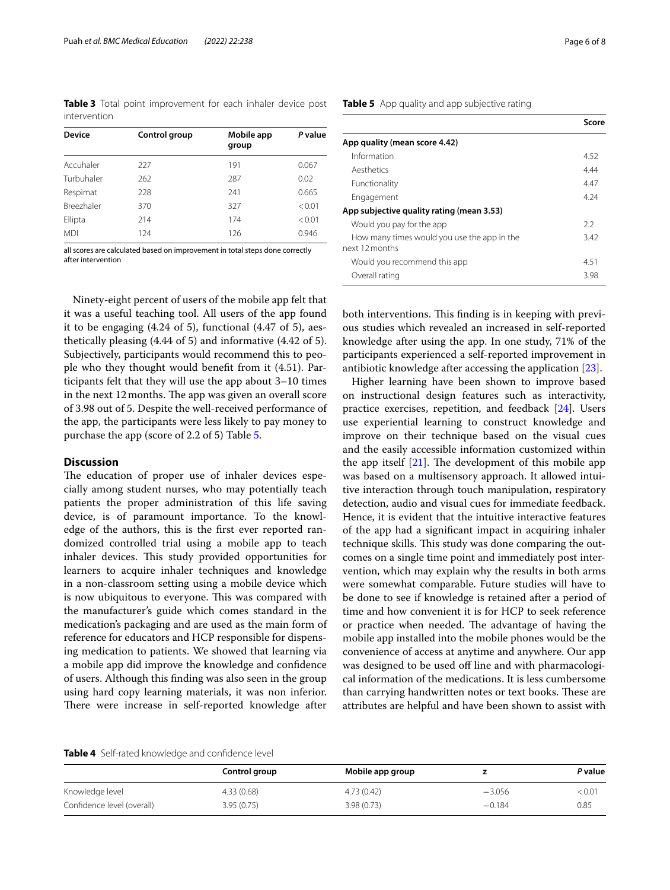<span id="page-5-0"></span>

|              |  | Table 3 Total point improvement for each inhaler device post |  |  |  |
|--------------|--|--------------------------------------------------------------|--|--|--|
| intervention |  |                                                              |  |  |  |

| <b>Device</b>     | Control group | Mobile app<br>group | P value |  |
|-------------------|---------------|---------------------|---------|--|
| Accuhaler         | 227           | 191                 | 0.067   |  |
| Turbuhaler        | 262           | 287                 | 0.02    |  |
| Respimat          | 228           | 241                 | 0.665   |  |
| <b>Breezhaler</b> | 370           | 327                 | < 0.01  |  |
| Ellipta           | 214           | 174                 | < 0.01  |  |
| <b>MDI</b>        | 124           | 126                 | 0.946   |  |

all scores are calculated based on improvement in total steps done correctly after intervention

Ninety-eight percent of users of the mobile app felt that it was a useful teaching tool. All users of the app found it to be engaging (4.24 of 5), functional (4.47 of 5), aesthetically pleasing (4.44 of 5) and informative (4.42 of 5). Subjectively, participants would recommend this to people who they thought would beneft from it (4.51). Participants felt that they will use the app about 3–10 times in the next 12 months. The app was given an overall score of 3.98 out of 5. Despite the well-received performance of the app, the participants were less likely to pay money to purchase the app (score of 2.2 of 5) Table [5.](#page-5-2)

## **Discussion**

The education of proper use of inhaler devices especially among student nurses, who may potentially teach patients the proper administration of this life saving device, is of paramount importance. To the knowledge of the authors, this is the frst ever reported randomized controlled trial using a mobile app to teach inhaler devices. This study provided opportunities for learners to acquire inhaler techniques and knowledge in a non-classroom setting using a mobile device which is now ubiquitous to everyone. This was compared with the manufacturer's guide which comes standard in the medication's packaging and are used as the main form of reference for educators and HCP responsible for dispensing medication to patients. We showed that learning via a mobile app did improve the knowledge and confdence of users. Although this fnding was also seen in the group using hard copy learning materials, it was non inferior. There were increase in self-reported knowledge after

## <span id="page-5-2"></span>**Table 5** App quality and app subjective rating

|                                                               | Score |
|---------------------------------------------------------------|-------|
| App quality (mean score 4.42)                                 |       |
| Information                                                   | 4.52  |
| Aesthetics                                                    | 4.44  |
| Functionality                                                 | 4.47  |
| Engagement                                                    | 4 24  |
| App subjective quality rating (mean 3.53)                     |       |
| Would you pay for the app                                     | 2.2   |
| How many times would you use the app in the<br>next 12 months | 3.42  |
| Would you recommend this app                                  | 4.51  |
| Overall rating                                                | 3.98  |

both interventions. This finding is in keeping with previous studies which revealed an increased in self-reported knowledge after using the app. In one study, 71% of the participants experienced a self-reported improvement in antibiotic knowledge after accessing the application [\[23](#page-7-21)].

Higher learning have been shown to improve based on instructional design features such as interactivity, practice exercises, repetition, and feedback [[24\]](#page-7-22). Users use experiential learning to construct knowledge and improve on their technique based on the visual cues and the easily accessible information customized within the app itself  $[21]$  $[21]$  $[21]$ . The development of this mobile app was based on a multisensory approach. It allowed intuitive interaction through touch manipulation, respiratory detection, audio and visual cues for immediate feedback. Hence, it is evident that the intuitive interactive features of the app had a signifcant impact in acquiring inhaler technique skills. This study was done comparing the outcomes on a single time point and immediately post intervention, which may explain why the results in both arms were somewhat comparable. Future studies will have to be done to see if knowledge is retained after a period of time and how convenient it is for HCP to seek reference or practice when needed. The advantage of having the mobile app installed into the mobile phones would be the convenience of access at anytime and anywhere. Our app was designed to be used off line and with pharmacological information of the medications. It is less cumbersome than carrying handwritten notes or text books. These are attributes are helpful and have been shown to assist with

<span id="page-5-1"></span>

|  |  | Table 4 Self-rated knowledge and confidence level |  |  |
|--|--|---------------------------------------------------|--|--|
|--|--|---------------------------------------------------|--|--|

|                            | Control group | Mobile app group |          | <i>P</i> value     |
|----------------------------|---------------|------------------|----------|--------------------|
| Knowledge level            | 4.33(0.68)    | 4.73(0.42)       | $-3.056$ | $<$ 0.0 $^{\circ}$ |
| Confidence level (overall) | 3.95(0.75)    | 3.98(0.73)       | $-0.184$ | 0.85               |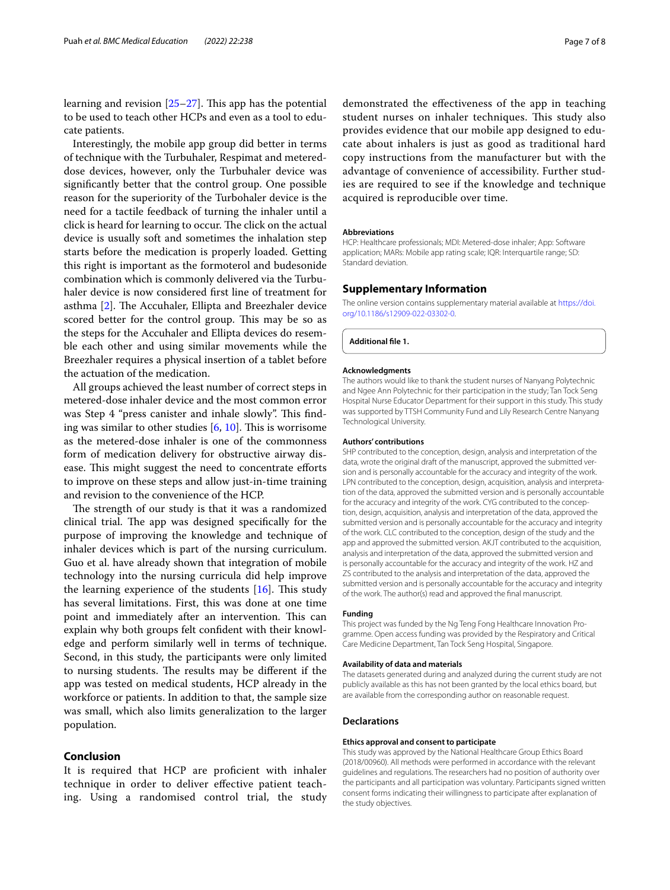learning and revision  $[25-27]$  $[25-27]$  $[25-27]$ . This app has the potential to be used to teach other HCPs and even as a tool to educate patients.

Interestingly, the mobile app group did better in terms of technique with the Turbuhaler, Respimat and metereddose devices, however, only the Turbuhaler device was signifcantly better that the control group. One possible reason for the superiority of the Turbohaler device is the need for a tactile feedback of turning the inhaler until a click is heard for learning to occur. The click on the actual device is usually soft and sometimes the inhalation step starts before the medication is properly loaded. Getting this right is important as the formoterol and budesonide combination which is commonly delivered via the Turbuhaler device is now considered frst line of treatment for asthma [[2](#page-7-1)]. The Accuhaler, Ellipta and Breezhaler device scored better for the control group. This may be so as the steps for the Accuhaler and Ellipta devices do resemble each other and using similar movements while the Breezhaler requires a physical insertion of a tablet before the actuation of the medication.

All groups achieved the least number of correct steps in metered-dose inhaler device and the most common error was Step 4 "press canister and inhale slowly". This finding was similar to other studies  $[6, 10]$  $[6, 10]$  $[6, 10]$ . This is worrisome as the metered-dose inhaler is one of the commonness form of medication delivery for obstructive airway disease. This might suggest the need to concentrate efforts to improve on these steps and allow just-in-time training and revision to the convenience of the HCP.

The strength of our study is that it was a randomized clinical trial. The app was designed specifically for the purpose of improving the knowledge and technique of inhaler devices which is part of the nursing curriculum. Guo et al. have already shown that integration of mobile technology into the nursing curricula did help improve the learning experience of the students  $[16]$  $[16]$ . This study has several limitations. First, this was done at one time point and immediately after an intervention. This can explain why both groups felt confdent with their knowledge and perform similarly well in terms of technique. Second, in this study, the participants were only limited to nursing students. The results may be different if the app was tested on medical students, HCP already in the workforce or patients. In addition to that, the sample size was small, which also limits generalization to the larger population.

## **Conclusion**

It is required that HCP are proficient with inhaler technique in order to deliver efective patient teaching. Using a randomised control trial, the study demonstrated the efectiveness of the app in teaching student nurses on inhaler techniques. This study also provides evidence that our mobile app designed to educate about inhalers is just as good as traditional hard copy instructions from the manufacturer but with the advantage of convenience of accessibility. Further studies are required to see if the knowledge and technique acquired is reproducible over time.

#### **Abbreviations**

HCP: Healthcare professionals; MDI: Metered-dose inhaler; App: Software application; MARs: Mobile app rating scale; IQR: Interquartile range; SD: Standard deviation.

## **Supplementary Information**

The online version contains supplementary material available at [https://doi.](https://doi.org/10.1186/s12909-022-03302-0) [org/10.1186/s12909-022-03302-0](https://doi.org/10.1186/s12909-022-03302-0).

<span id="page-6-0"></span>**Additional fle 1.**

#### **Acknowledgments**

The authors would like to thank the student nurses of Nanyang Polytechnic and Ngee Ann Polytechnic for their participation in the study; Tan Tock Seng Hospital Nurse Educator Department for their support in this study. This study was supported by TTSH Community Fund and Lily Research Centre Nanyang Technological University.

#### **Authors' contributions**

SHP contributed to the conception, design, analysis and interpretation of the data, wrote the original draft of the manuscript, approved the submitted version and is personally accountable for the accuracy and integrity of the work. LPN contributed to the conception, design, acquisition, analysis and interpretation of the data, approved the submitted version and is personally accountable for the accuracy and integrity of the work. CYG contributed to the conception, design, acquisition, analysis and interpretation of the data, approved the submitted version and is personally accountable for the accuracy and integrity of the work. CLC contributed to the conception, design of the study and the app and approved the submitted version. AKJT contributed to the acquisition, analysis and interpretation of the data, approved the submitted version and is personally accountable for the accuracy and integrity of the work. HZ and ZS contributed to the analysis and interpretation of the data, approved the submitted version and is personally accountable for the accuracy and integrity of the work. The author(s) read and approved the fnal manuscript.

#### **Funding**

This project was funded by the Ng Teng Fong Healthcare Innovation Programme. Open access funding was provided by the Respiratory and Critical Care Medicine Department, Tan Tock Seng Hospital, Singapore.

#### **Availability of data and materials**

The datasets generated during and analyzed during the current study are not publicly available as this has not been granted by the local ethics board, but are available from the corresponding author on reasonable request.

#### **Declarations**

#### **Ethics approval and consent to participate**

This study was approved by the National Healthcare Group Ethics Board (2018/00960). All methods were performed in accordance with the relevant guidelines and regulations. The researchers had no position of authority over the participants and all participation was voluntary. Participants signed written consent forms indicating their willingness to participate after explanation of the study objectives.